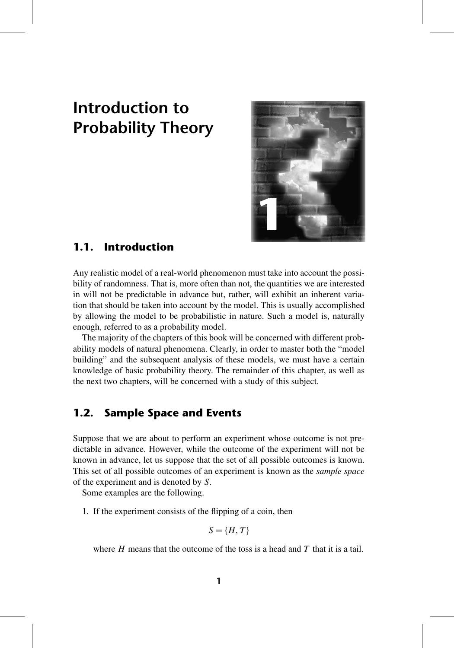

# **1.1. Introduction**

Any realistic model of a real-world phenomenon must take into account the possibility of randomness. That is, more often than not, the quantities we are interested in will not be predictable in advance but, rather, will exhibit an inherent variation that should be taken into account by the model. This is usually accomplished by allowing the model to be probabilistic in nature. Such a model is, naturally enough, referred to as a probability model.

The majority of the chapters of this book will be concerned with different probability models of natural phenomena. Clearly, in order to master both the "model building" and the subsequent analysis of these models, we must have a certain knowledge of basic probability theory. The remainder of this chapter, as well as the next two chapters, will be concerned with a study of this subject.

# **1.2. Sample Space and Events**

Suppose that we are about to perform an experiment whose outcome is not predictable in advance. However, while the outcome of the experiment will not be known in advance, let us suppose that the set of all possible outcomes is known. This set of all possible outcomes of an experiment is known as the *sample space* of the experiment and is denoted by *S*.

Some examples are the following.

1. If the experiment consists of the flipping of a coin, then

$$
S = \{H, T\}
$$

where *H* means that the outcome of the toss is a head and *T* that it is a tail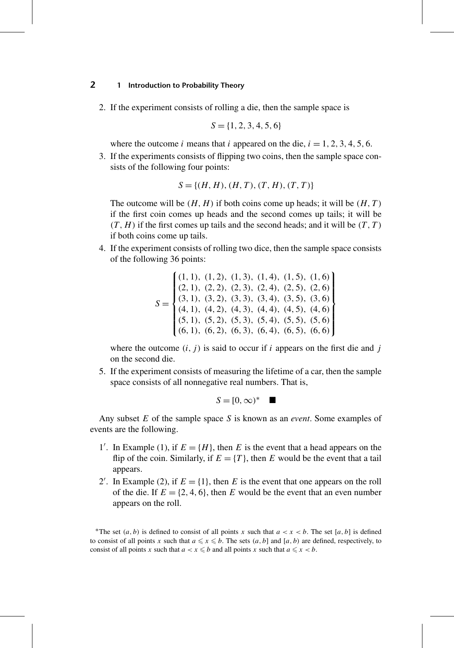2. If the experiment consists of rolling a die, then the sample space is

$$
S = \{1, 2, 3, 4, 5, 6\}
$$

where the outcome *i* means that *i* appeared on the die,  $i = 1, 2, 3, 4, 5, 6$ .

3. If the experiments consists of flipping two coins, then the sample space consists of the following four points:

$$
S = \{(H, H), (H, T), (T, H), (T, T)\}
$$

The outcome will be  $(H, H)$  if both coins come up heads; it will be  $(H, T)$ if the first coin comes up heads and the second comes up tails; it will be *(T,H)* if the first comes up tails and the second heads; and it will be *(T,T )* if both coins come up tails.

4. If the experiment consists of rolling two dice, then the sample space consists of the following 36 points:

$$
S = \begin{cases} (1, 1), (1, 2), (1, 3), (1, 4), (1, 5), (1, 6) \\ (2, 1), (2, 2), (2, 3), (2, 4), (2, 5), (2, 6) \\ (3, 1), (3, 2), (3, 3), (3, 4), (3, 5), (3, 6) \\ (4, 1), (4, 2), (4, 3), (4, 4), (4, 5), (4, 6) \\ (5, 1), (5, 2), (5, 3), (5, 4), (5, 5), (5, 6) \\ (6, 1), (6, 2), (6, 3), (6, 4), (6, 5), (6, 6) \end{cases}
$$

where the outcome  $(i, j)$  is said to occur if  $i$  appears on the first die and  $j$ on the second die.

5. If the experiment consists of measuring the lifetime of a car, then the sample space consists of all nonnegative real numbers. That is,

$$
S = [0, \infty)^* \quad \blacksquare
$$

Any subset *E* of the sample space *S* is known as an *event*. Some examples of events are the following.

- 1'. In Example (1), if  $E = \{H\}$ , then *E* is the event that a head appears on the flip of the coin. Similarly, if  $E = \{T\}$ , then *E* would be the event that a tail appears.
- 2'. In Example (2), if  $E = \{1\}$ , then *E* is the event that one appears on the roll of the die. If  $E = \{2, 4, 6\}$ , then *E* would be the event that an even number appears on the roll.

<sup>\*</sup>The set  $(a, b)$  is defined to consist of all points *x* such that  $a < x < b$ . The set [*a, b*] is defined to consist of all points x such that  $a \le x \le b$ . The sets  $(a, b]$  and  $[a, b)$  are defined, respectively, to consist of all points *x* such that  $a < x \le b$  and all points *x* such that  $a \le x < b$ .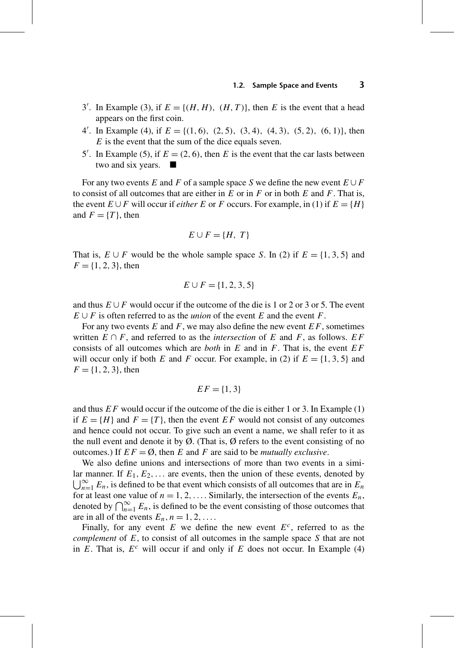- 3'. In Example (3), if  $E = \{(H, H), (H, T)\}$ , then *E* is the event that a head appears on the first coin.
- 4 . In Example (4), if *E* = {*(*1*,* 6*), (*2*,* 5*), (*3*,* 4*), (*4*,* 3*), (*5*,* 2*), (*6*,* 1*)*}, then *E* is the event that the sum of the dice equals seven.
- 5'. In Example (5), if  $E = (2, 6)$ , then *E* is the event that the car lasts between two and six years.

For any two events *E* and *F* of a sample space *S* we define the new event  $E \cup F$ to consist of all outcomes that are either in  $E$  or in  $F$  or in both  $E$  and  $F$ . That is, the event  $E \cup F$  will occur if *either*  $E$  or  $F$  occurs. For example, in (1) if  $E = \{H\}$ and  $F = \{T\}$ , then

$$
E \cup F = \{H, T\}
$$

That is,  $E \cup F$  would be the whole sample space *S*. In (2) if  $E = \{1, 3, 5\}$  and  $F = \{1, 2, 3\}$ , then

$$
E \cup F = \{1, 2, 3, 5\}
$$

and thus  $E \cup F$  would occur if the outcome of the die is 1 or 2 or 3 or 5. The event  $E \cup F$  is often referred to as the *union* of the event *E* and the event *F*.

For any two events *E* and *F*, we may also define the new event *EF*, sometimes written  $E \cap F$ , and referred to as the *intersection* of  $E$  and  $F$ , as follows.  $EF$ consists of all outcomes which are *both* in *E* and in *F*. That is, the event *EF* will occur only if both *E* and *F* occur. For example, in (2) if  $E = \{1, 3, 5\}$  and  $F = \{1, 2, 3\}$ , then

$$
EF = \{1, 3\}
$$

and thus *EF* would occur if the outcome of the die is either 1 or 3. In Example (1) if  $E = \{H\}$  and  $F = \{T\}$ , then the event  $EF$  would not consist of any outcomes and hence could not occur. To give such an event a name, we shall refer to it as the null event and denote it by  $\emptyset$ . (That is,  $\emptyset$  refers to the event consisting of no outcomes.) If  $EF = \emptyset$ , then *E* and *F* are said to be *mutually exclusive*.

We also define unions and intersections of more than two events in a simi-  $\bigcup_{n=1}^{\infty} E_n$ , is defined to be that event which consists of all outcomes that are in  $E_n$ lar manner. If  $E_1, E_2, \ldots$  are events, then the union of these events, denoted by for at least one value of  $n = 1, 2, \ldots$ . Similarly, the intersection of the events  $E_n$ , denoted by  $\bigcap_{n=1}^{\infty} E_n$ , is defined to be the event consisting of those outcomes that are in all of the events  $E_n$ ,  $n = 1, 2, \ldots$ .

Finally, for any event  $E$  we define the new event  $E^c$ , referred to as the *complement* of *E*, to consist of all outcomes in the sample space *S* that are not in  $E$ . That is,  $E^c$  will occur if and only if  $E$  does not occur. In Example (4)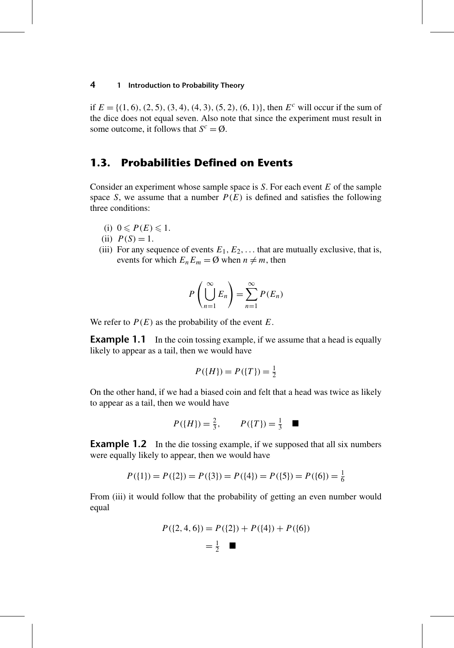if  $E = \{(1, 6), (2, 5), (3, 4), (4, 3), (5, 2), (6, 1)\}$ , then  $E<sup>c</sup>$  will occur if the sum of the dice does not equal seven. Also note that since the experiment must result in some outcome, it follows that  $S^c = \emptyset$ .

# **1.3. Probabilities Defined on Events**

Consider an experiment whose sample space is *S*. For each event *E* of the sample space *S*, we assume that a number  $P(E)$  is defined and satisfies the following three conditions:

- (i)  $0 \leqslant P(E) \leqslant 1$ .
- (ii)  $P(S) = 1$ .
- (iii) For any sequence of events  $E_1, E_2, \ldots$  that are mutually exclusive, that is, events for which  $E_n E_m = \emptyset$  when  $n \neq m$ , then

$$
P\left(\bigcup_{n=1}^{\infty} E_n\right) = \sum_{n=1}^{\infty} P(E_n)
$$

We refer to  $P(E)$  as the probability of the event  $E$ .

**Example 1.1** In the coin tossing example, if we assume that a head is equally likely to appear as a tail, then we would have

$$
P({H}) = P({T}) = \frac{1}{2}
$$

On the other hand, if we had a biased coin and felt that a head was twice as likely to appear as a tail, then we would have

$$
P({H}) = \frac{2}{3}, \qquad P({T}) = \frac{1}{3} \quad \blacksquare
$$

**Example 1.2** In the die tossing example, if we supposed that all six numbers were equally likely to appear, then we would have

$$
P({1}) = P({2}) = P({3}) = P({4}) = P({5}) = P({6}) = \frac{1}{6}
$$

From (iii) it would follow that the probability of getting an even number would equal

$$
P({2, 4, 6}) = P({2}) + P({4}) + P({6})
$$

$$
= \frac{1}{2} \quad \blacksquare
$$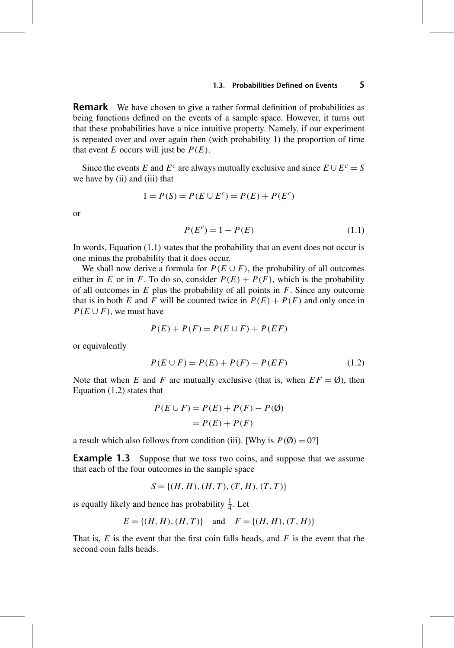**Remark** We have chosen to give a rather formal definition of probabilities as being functions defined on the events of a sample space. However, it turns out that these probabilities have a nice intuitive property. Namely, if our experiment is repeated over and over again then (with probability 1) the proportion of time that event *E* occurs will just be  $P(E)$ .

Since the events *E* and  $E^c$  are always mutually exclusive and since  $E \cup E^c = S$ we have by (ii) and (iii) that

$$
1 = P(S) = P(E \cup E^{c}) = P(E) + P(E^{c})
$$

or

$$
P(E^{c}) = 1 - P(E)
$$
 (1.1)

In words, Equation (1.1) states that the probability that an event does not occur is one minus the probability that it does occur.

We shall now derive a formula for  $P(E \cup F)$ , the probability of all outcomes either in *E* or in *F*. To do so, consider  $P(E) + P(F)$ , which is the probability of all outcomes in *E* plus the probability of all points in *F*. Since any outcome that is in both *E* and *F* will be counted twice in  $P(E) + P(F)$  and only once in  $P(E \cup F)$ , we must have

$$
P(E) + P(F) = P(E \cup F) + P(EF)
$$

or equivalently

$$
P(E \cup F) = P(E) + P(F) - P(EF)
$$
 (1.2)

Note that when *E* and *F* are mutually exclusive (that is, when  $EF = \emptyset$ ), then Equation (1.2) states that

$$
P(E \cup F) = P(E) + P(F) - P(\emptyset)
$$

$$
= P(E) + P(F)
$$

a result which also follows from condition (iii). [Why is  $P(\emptyset) = 0$ ?]

**Example 1.3** Suppose that we toss two coins, and suppose that we assume that each of the four outcomes in the sample space

$$
S = \{ (H, H), (H, T), (T, H), (T, T) \}
$$

is equally likely and hence has probability  $\frac{1}{4}$ . Let

$$
E = \{(H, H), (H, T)\}\
$$
 and  $F = \{(H, H), (T, H)\}\$ 

That is, *E* is the event that the first coin falls heads, and *F* is the event that the second coin falls heads.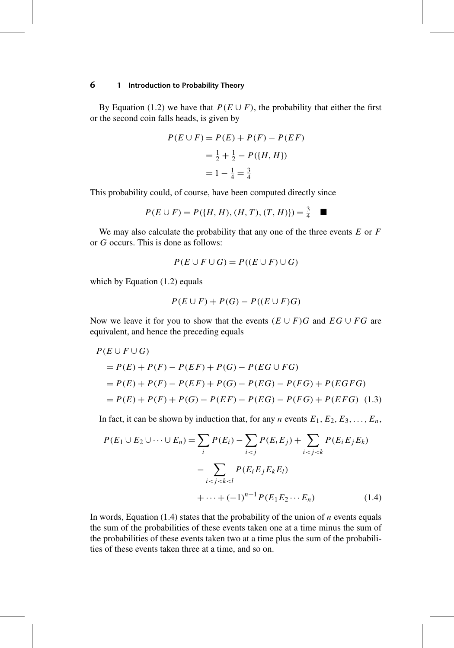By Equation (1.2) we have that  $P(E \cup F)$ , the probability that either the first or the second coin falls heads, is given by

$$
P(E \cup F) = P(E) + P(F) - P(EF)
$$
  
=  $\frac{1}{2} + \frac{1}{2} - P(\{H, H\})$   
=  $1 - \frac{1}{4} = \frac{3}{4}$ 

This probability could, of course, have been computed directly since

$$
P(E \cup F) = P({H, H), (H, T), (T, H)} = \frac{3}{4}
$$

We may also calculate the probability that any one of the three events *E* or *F* or *G* occurs. This is done as follows:

$$
P(E \cup F \cup G) = P((E \cup F) \cup G)
$$

which by Equation (1.2) equals

$$
P(E \cup F) + P(G) - P((E \cup F)G)
$$

Now we leave it for you to show that the events  $(E \cup F)G$  and  $EG \cup FG$  are equivalent, and hence the preceding equals

$$
P(E \cup F \cup G)
$$
  
=  $P(E) + P(F) - P(EF) + P(G) - P(EG \cup FG)$   
=  $P(E) + P(F) - P(EF) + P(G) - P(EG) - P(FG) + P(EGFG)$   
=  $P(E) + P(F) + P(G) - P(EF) - P(EG) - P(FG) + P(EFG)$  (1.3)

In fact, it can be shown by induction that, for any *n* events  $E_1, E_2, E_3, \ldots, E_n$ ,

$$
P(E_1 \cup E_2 \cup \dots \cup E_n) = \sum_i P(E_i) - \sum_{i < j} P(E_i E_j) + \sum_{i < j < k} P(E_i E_j E_k) - \sum_{i < j < k < l} P(E_i E_j E_k E_l) + \dots + (-1)^{n+1} P(E_1 E_2 \cdots E_n) \tag{1.4}
$$

In words, Equation (1.4) states that the probability of the union of *n* events equals the sum of the probabilities of these events taken one at a time minus the sum of the probabilities of these events taken two at a time plus the sum of the probabilities of these events taken three at a time, and so on.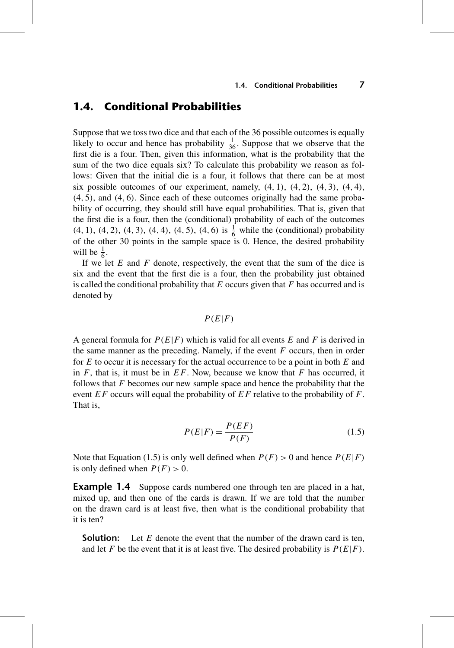## **1.4. Conditional Probabilities**

Suppose that we toss two dice and that each of the 36 possible outcomes is equally likely to occur and hence has probability  $\frac{1}{36}$ . Suppose that we observe that the first die is a four. Then, given this information, what is the probability that the sum of the two dice equals six? To calculate this probability we reason as follows: Given that the initial die is a four, it follows that there can be at most six possible outcomes of our experiment, namely,  $(4, 1)$ ,  $(4, 2)$ ,  $(4, 3)$ ,  $(4, 4)$ , *(*4*,* 5*)*, and *(*4*,* 6*)*. Since each of these outcomes originally had the same probability of occurring, they should still have equal probabilities. That is, given that the first die is a four, then the (conditional) probability of each of the outcomes  $(4, 1)$ ,  $(4, 2)$ ,  $(4, 3)$ ,  $(4, 4)$ ,  $(4, 5)$ ,  $(4, 6)$  is  $\frac{1}{6}$  while the (conditional) probability of the other 30 points in the sample space is 0. Hence, the desired probability will be  $\frac{1}{6}$ .

If we let *E* and *F* denote, respectively, the event that the sum of the dice is six and the event that the first die is a four, then the probability just obtained is called the conditional probability that *E* occurs given that *F* has occurred and is denoted by

## *P(E*|*F)*

A general formula for *P(E*|*F)* which is valid for all events *E* and *F* is derived in the same manner as the preceding. Namely, if the event *F* occurs, then in order for *E* to occur it is necessary for the actual occurrence to be a point in both *E* and in *F*, that is, it must be in *EF*. Now, because we know that *F* has occurred, it follows that *F* becomes our new sample space and hence the probability that the event *EF* occurs will equal the probability of *EF* relative to the probability of *F*. That is,

$$
P(E|F) = \frac{P(EF)}{P(F)}\tag{1.5}
$$

Note that Equation (1.5) is only well defined when  $P(F) > 0$  and hence  $P(E|F)$ is only defined when  $P(F) > 0$ .

**Example 1.4** Suppose cards numbered one through ten are placed in a hat, mixed up, and then one of the cards is drawn. If we are told that the number on the drawn card is at least five, then what is the conditional probability that it is ten?

**Solution:** Let *E* denote the event that the number of the drawn card is ten, and let *F* be the event that it is at least five. The desired probability is  $P(E|F)$ .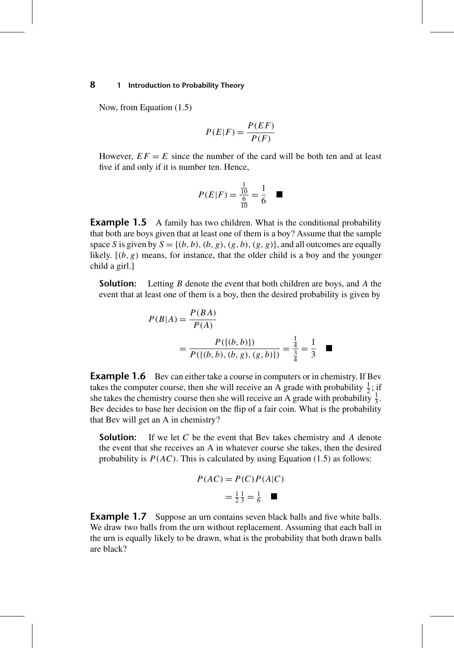Now, from Equation (1.5)

$$
P(E|F) = \frac{P(EF)}{P(F)}
$$

However,  $EF = E$  since the number of the card will be both ten and at least five if and only if it is number ten. Hence,

$$
P(E|F) = \frac{\frac{1}{10}}{\frac{6}{10}} = \frac{1}{6} \quad \blacksquare
$$

**Example 1.5** A family has two children. What is the conditional probability that both are boys given that at least one of them is a boy? Assume that the sample space *S* is given by  $S = \{(b, b), (b, g), (g, b), (g, g)\}$ , and all outcomes are equally likely.  $[(b, g)$  means, for instance, that the older child is a boy and the younger child a girl.]

**Solution:** Letting *B* denote the event that both children are boys, and *A* the event that at least one of them is a boy, then the desired probability is given by

$$
P(B|A) = \frac{P(BA)}{P(A)}
$$
  
= 
$$
\frac{P(\{(b,b)\})}{P(\{(b,b),(b,g),(g,b)\})} = \frac{\frac{1}{4}}{\frac{3}{4}} = \frac{1}{3}
$$

**Example 1.6** Bev can either take a course in computers or in chemistry. If Bev takes the computer course, then she will receive an A grade with probability  $\frac{1}{2}$ ; if she takes the chemistry course then she will receive an A grade with probability  $\frac{1}{3}$ . Bev decides to base her decision on the flip of a fair coin. What is the probability that Bev will get an A in chemistry?

**Solution:** If we let *C* be the event that Bev takes chemistry and *A* denote the event that she receives an A in whatever course she takes, then the desired probability is  $P(AC)$ . This is calculated by using Equation (1.5) as follows:

$$
P(AC) = P(C)P(A|C)
$$

$$
= \frac{1}{2}\frac{1}{3} = \frac{1}{6} \quad \blacksquare
$$

**Example 1.7** Suppose an urn contains seven black balls and five white balls. We draw two balls from the urn without replacement. Assuming that each ball in the urn is equally likely to be drawn, what is the probability that both drawn balls are black?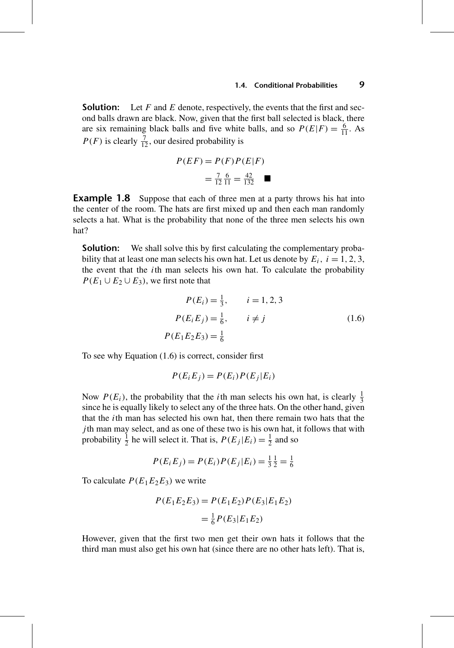**Solution:** Let *F* and *E* denote, respectively, the events that the first and second balls drawn are black. Now, given that the first ball selected is black, there are six remaining black balls and five white balls, and so  $P(E|F) = \frac{6}{11}$ . As  $P(F)$  is clearly  $\frac{7}{12}$ , our desired probability is

$$
P(EF) = P(F)P(E|F)
$$
  
=  $\frac{7}{12} \frac{6}{11} = \frac{42}{132}$ 

**Example 1.8** Suppose that each of three men at a party throws his hat into the center of the room. The hats are first mixed up and then each man randomly selects a hat. What is the probability that none of the three men selects his own hat?

**Solution:** We shall solve this by first calculating the complementary probability that at least one man selects his own hat. Let us denote by  $E_i$ ,  $i = 1, 2, 3$ , the event that the *i*th man selects his own hat. To calculate the probability  $P(E_1 \cup E_2 \cup E_3)$ , we first note that

$$
P(E_i) = \frac{1}{3}, \qquad i = 1, 2, 3
$$
  

$$
P(E_i E_j) = \frac{1}{6}, \qquad i \neq j
$$
  

$$
P(E_1 E_2 E_3) = \frac{1}{6}
$$
 (1.6)

To see why Equation (1.6) is correct, consider first

$$
P(E_i E_j) = P(E_i) P(E_j | E_i)
$$

Now  $P(E_i)$ , the probability that the *i*th man selects his own hat, is clearly  $\frac{1}{3}$ since he is equally likely to select any of the three hats. On the other hand, given that the *i*th man has selected his own hat, then there remain two hats that the *j* th man may select, and as one of these two is his own hat, it follows that with probability  $\frac{1}{2}$  he will select it. That is,  $P(E_j | E_i) = \frac{1}{2}$  and so

$$
P(E_i E_j) = P(E_i) P(E_j | E_i) = \frac{1}{3} \frac{1}{2} = \frac{1}{6}
$$

To calculate  $P(E_1E_2E_3)$  we write

$$
P(E_1E_2E_3) = P(E_1E_2)P(E_3|E_1E_2)
$$
  
=  $\frac{1}{6}P(E_3|E_1E_2)$ 

However, given that the first two men get their own hats it follows that the third man must also get his own hat (since there are no other hats left). That is,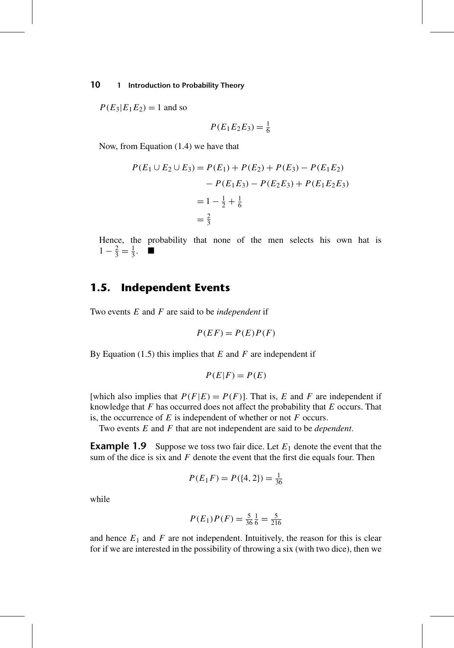$P(E_3|E_1E_2) = 1$  and so

$$
P(E_1E_2E_3) = \frac{1}{6}
$$

Now, from Equation (1.4) we have that

$$
P(E_1 \cup E_2 \cup E_3) = P(E_1) + P(E_2) + P(E_3) - P(E_1 E_2)
$$
  
- 
$$
P(E_1 E_3) - P(E_2 E_3) + P(E_1 E_2 E_3)
$$
  
= 
$$
1 - \frac{1}{2} + \frac{1}{6}
$$
  
= 
$$
\frac{2}{3}
$$

Hence, the probability that none of the men selects his own hat is  $1 - \frac{2}{3} = \frac{1}{3}$ . ■

## **1.5. Independent Events**

Two events *E* and *F* are said to be *independent* if

$$
P(EF) = P(E)P(F)
$$

By Equation (1.5) this implies that *E* and *F* are independent if

$$
P(E|F) = P(E)
$$

[which also implies that  $P(F|E) = P(F)$ ]. That is, *E* and *F* are independent if knowledge that *F* has occurred does not affect the probability that *E* occurs. That is, the occurrence of *E* is independent of whether or not *F* occurs.

Two events *E* and *F* that are not independent are said to be *dependent*.

**Example 1.9** Suppose we toss two fair dice. Let  $E_1$  denote the event that the sum of the dice is six and *F* denote the event that the first die equals four. Then

$$
P(E_1F) = P({4, 2}) = \frac{1}{36}
$$

while

$$
P(E_1)P(F) = \frac{5}{36} \frac{1}{6} = \frac{5}{216}
$$

and hence  $E_1$  and  $F$  are not independent. Intuitively, the reason for this is clear for if we are interested in the possibility of throwing a six (with two dice), then we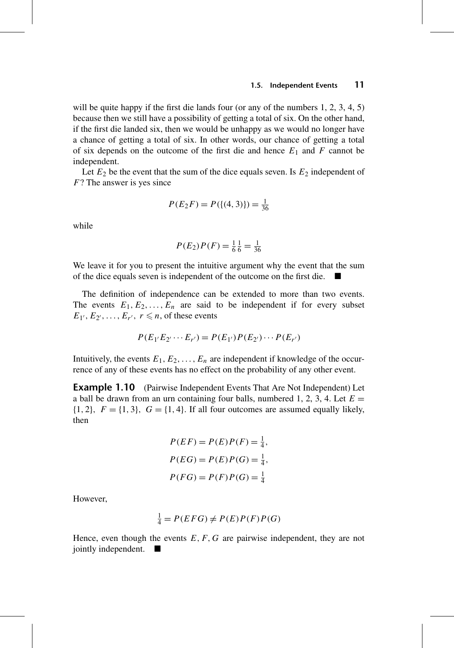will be quite happy if the first die lands four (or any of the numbers 1, 2, 3, 4, 5) because then we still have a possibility of getting a total of six. On the other hand, if the first die landed six, then we would be unhappy as we would no longer have a chance of getting a total of six. In other words, our chance of getting a total of six depends on the outcome of the first die and hence  $E_1$  and  $F$  cannot be independent.

Let  $E_2$  be the event that the sum of the dice equals seven. Is  $E_2$  independent of *F*? The answer is yes since

$$
P(E_2F) = P({(4, 3)}) = \frac{1}{36}
$$

while

$$
P(E_2)P(F) = \frac{1}{6} \frac{1}{6} = \frac{1}{36}
$$

We leave it for you to present the intuitive argument why the event that the sum of the dice equals seven is independent of the outcome on the first die.

The definition of independence can be extended to more than two events. The events  $E_1, E_2, \ldots, E_n$  are said to be independent if for every subset  $E_1$ <sup>*'*</sup>,  $E_2$ <sup>*'*</sup>,  $\ldots$ ,  $E_r$ <sup>*'*</sup>,  $r \le n$ , of these events

$$
P(E_{1'}E_{2'}\cdots E_{r'})=P(E_{1'})P(E_{2'})\cdots P(E_{r'})
$$

Intuitively, the events  $E_1, E_2, \ldots, E_n$  are independent if knowledge of the occurrence of any of these events has no effect on the probability of any other event.

**Example 1.10** (Pairwise Independent Events That Are Not Independent) Let a ball be drawn from an urn containing four balls, numbered 1, 2, 3, 4. Let  $E =$  $\{1, 2\}$ ,  $F = \{1, 3\}$ ,  $G = \{1, 4\}$ . If all four outcomes are assumed equally likely, then

$$
P(EF) = P(E)P(F) = \frac{1}{4},
$$
  

$$
P(EG) = P(E)P(G) = \frac{1}{4},
$$
  

$$
P(FG) = P(F)P(G) = \frac{1}{4}
$$

However,

$$
\frac{1}{4} = P(EFG) \neq P(E)P(F)P(G)
$$

Hence, even though the events  $E, F, G$  are pairwise independent, they are not jointly independent.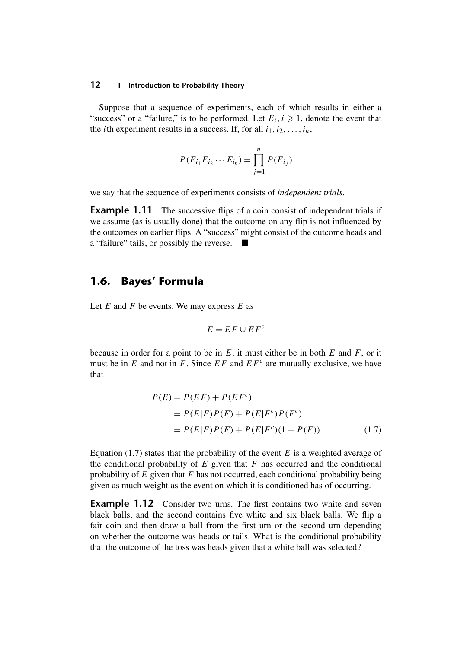Suppose that a sequence of experiments, each of which results in either a "success" or a "failure," is to be performed. Let  $E_i$ ,  $i \geq 1$ , denote the event that the *i*th experiment results in a success. If, for all  $i_1, i_2, \ldots, i_n$ ,

$$
P(E_{i_1}E_{i_2}\cdots E_{i_n}) = \prod_{j=1}^n P(E_{i_j})
$$

we say that the sequence of experiments consists of *independent trials*.

**Example 1.11** The successive flips of a coin consist of independent trials if we assume (as is usually done) that the outcome on any flip is not influenced by the outcomes on earlier flips. A "success" might consist of the outcome heads and a "failure" tails, or possibly the reverse.

## **1.6. Bayes' Formula**

Let *E* and *F* be events. We may express *E* as

$$
E = EF \cup EF^c
$$

because in order for a point to be in *E*, it must either be in both *E* and *F*, or it must be in  $E$  and not in  $F$ . Since  $EF$  and  $EF<sup>c</sup>$  are mutually exclusive, we have that

$$
P(E) = P(EF) + P(EF^{c})
$$
  
=  $P(E|F)P(F) + P(E|F^{c})P(F^{c})$   
=  $P(E|F)P(F) + P(E|F^{c})(1 - P(F))$  (1.7)

Equation (1.7) states that the probability of the event  $E$  is a weighted average of the conditional probability of  $E$  given that  $F$  has occurred and the conditional probability of *E* given that *F* has not occurred, each conditional probability being given as much weight as the event on which it is conditioned has of occurring.

**Example 1.12** Consider two urns. The first contains two white and seven black balls, and the second contains five white and six black balls. We flip a fair coin and then draw a ball from the first urn or the second urn depending on whether the outcome was heads or tails. What is the conditional probability that the outcome of the toss was heads given that a white ball was selected?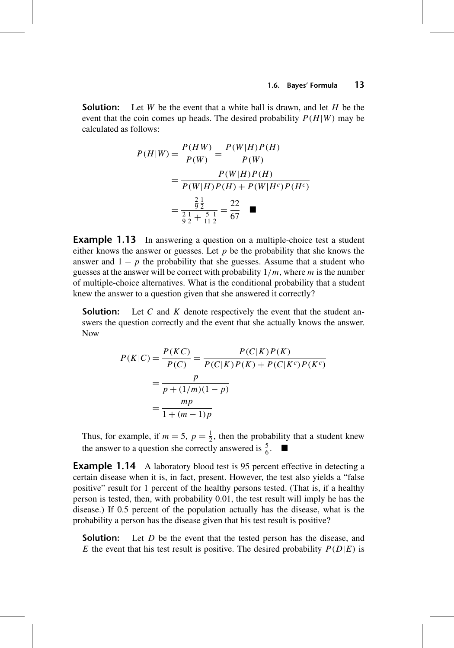**Solution:** Let *W* be the event that a white ball is drawn, and let *H* be the event that the coin comes up heads. The desired probability  $P(H|W)$  may be calculated as follows:

$$
P(H|W) = \frac{P(HW)}{P(W)} = \frac{P(W|H)P(H)}{P(W)}
$$
  
= 
$$
\frac{P(W|H)P(H)}{P(W|H)P(H) + P(W|H^c)P(H^c)}
$$
  
= 
$$
\frac{\frac{2}{9}\frac{1}{2}}{\frac{2}{9}\frac{1}{2} + \frac{5}{11}\frac{1}{2}} = \frac{22}{67}
$$

**Example 1.13** In answering a question on a multiple-choice test a student either knows the answer or guesses. Let  $p$  be the probability that she knows the answer and  $1 - p$  the probability that she guesses. Assume that a student who guesses at the answer will be correct with probability 1*/m*, where *m* is the number of multiple-choice alternatives. What is the conditional probability that a student knew the answer to a question given that she answered it correctly?

**Solution:** Let *C* and *K* denote respectively the event that the student answers the question correctly and the event that she actually knows the answer. Now

$$
P(K|C) = \frac{P(KC)}{P(C)} = \frac{P(C|K)P(K)}{P(C|K)P(K) + P(C|K^c)P(K^c)}
$$
  
= 
$$
\frac{p}{p + (1/m)(1-p)}
$$
  
= 
$$
\frac{mp}{1 + (m-1)p}
$$

Thus, for example, if  $m = 5$ ,  $p = \frac{1}{2}$ , then the probability that a student knew the answer to a question she correctly answered is  $\frac{5}{6}$ .

**Example 1.14** A laboratory blood test is 95 percent effective in detecting a certain disease when it is, in fact, present. However, the test also yields a "false positive" result for 1 percent of the healthy persons tested. (That is, if a healthy person is tested, then, with probability 0.01, the test result will imply he has the disease.) If 0.5 percent of the population actually has the disease, what is the probability a person has the disease given that his test result is positive?

**Solution:** Let *D* be the event that the tested person has the disease, and *E* the event that his test result is positive. The desired probability  $P(D|E)$  is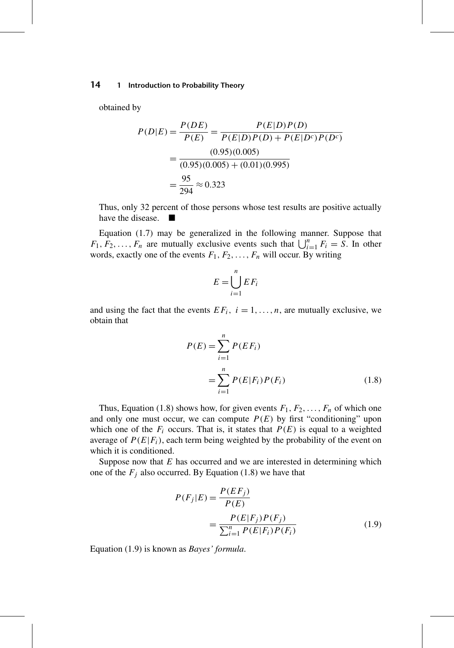obtained by

$$
P(D|E) = \frac{P(DE)}{P(E)} = \frac{P(E|D)P(D)}{P(E|D)P(D) + P(E|D^c)P(D^c)}
$$
  
= 
$$
\frac{(0.95)(0.005)}{(0.95)(0.005) + (0.01)(0.995)}
$$
  
= 
$$
\frac{95}{294} \approx 0.323
$$

Thus, only 32 percent of those persons whose test results are positive actually have the disease.

Equation (1.7) may be generalized in the following manner. Suppose that  $F_1, F_2, \ldots, F_n$  are mutually exclusive events such that  $\bigcup_{i=1}^n F_i = S$ . In other words, exactly one of the events  $F_1, F_2, \ldots, F_n$  will occur. By writing

$$
E = \bigcup_{i=1}^{n} EF_i
$$

and using the fact that the events  $EF_i$ ,  $i = 1, \ldots, n$ , are mutually exclusive, we obtain that

$$
P(E) = \sum_{i=1}^{n} P(EF_i)
$$
  
= 
$$
\sum_{i=1}^{n} P(E|F_i)P(F_i)
$$
 (1.8)

Thus, Equation (1.8) shows how, for given events  $F_1, F_2, \ldots, F_n$  of which one and only one must occur, we can compute  $P(E)$  by first "conditioning" upon which one of the  $F_i$  occurs. That is, it states that  $P(E)$  is equal to a weighted average of  $P(E|F_i)$ , each term being weighted by the probability of the event on which it is conditioned.

Suppose now that *E* has occurred and we are interested in determining which one of the  $F_j$  also occurred. By Equation (1.8) we have that

$$
P(F_j|E) = \frac{P(EF_j)}{P(E)}
$$
  
= 
$$
\frac{P(E|F_j)P(F_j)}{\sum_{i=1}^n P(E|F_i)P(F_i)}
$$
(1.9)

Equation (1.9) is known as *Bayes' formula*.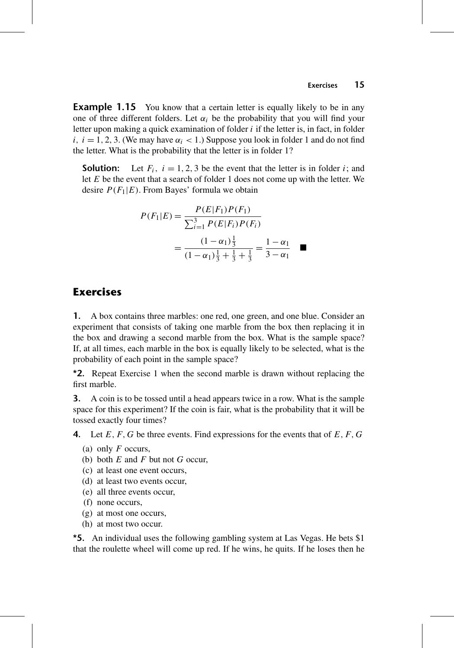**Example 1.15** You know that a certain letter is equally likely to be in any one of three different folders. Let  $\alpha_i$  be the probability that you will find your letter upon making a quick examination of folder *i* if the letter is, in fact, in folder *i, i* = 1, 2, 3. (We may have  $\alpha_i$  < 1.) Suppose you look in folder 1 and do not find the letter. What is the probability that the letter is in folder 1?

**Solution:** Let  $F_i$ ,  $i = 1, 2, 3$  be the event that the letter is in folder *i*; and let *E* be the event that a search of folder 1 does not come up with the letter. We desire  $P(F_1|E)$ . From Bayes' formula we obtain

$$
P(F_1|E) = \frac{P(E|F_1)P(F_1)}{\sum_{i=1}^{3} P(E|F_i)P(F_i)}
$$
  
= 
$$
\frac{(1 - \alpha_1)\frac{1}{3}}{(1 - \alpha_1)\frac{1}{3} + \frac{1}{3} + \frac{1}{3}} = \frac{1 - \alpha_1}{3 - \alpha_1}
$$

# **Exercises**

**1.** A box contains three marbles: one red, one green, and one blue. Consider an experiment that consists of taking one marble from the box then replacing it in the box and drawing a second marble from the box. What is the sample space? If, at all times, each marble in the box is equally likely to be selected, what is the probability of each point in the sample space?

**\*2.** Repeat Exercise 1 when the second marble is drawn without replacing the first marble.

**3.** A coin is to be tossed until a head appears twice in a row. What is the sample space for this experiment? If the coin is fair, what is the probability that it will be tossed exactly four times?

**4.** Let *E,F,G* be three events. Find expressions for the events that of *E,F,G*

- (a) only *F* occurs,
- (b) both *E* and *F* but not *G* occur,
- (c) at least one event occurs,
- (d) at least two events occur,
- (e) all three events occur,
- (f) none occurs,
- (g) at most one occurs,
- (h) at most two occur.

**\*5.** An individual uses the following gambling system at Las Vegas. He bets \$1 that the roulette wheel will come up red. If he wins, he quits. If he loses then he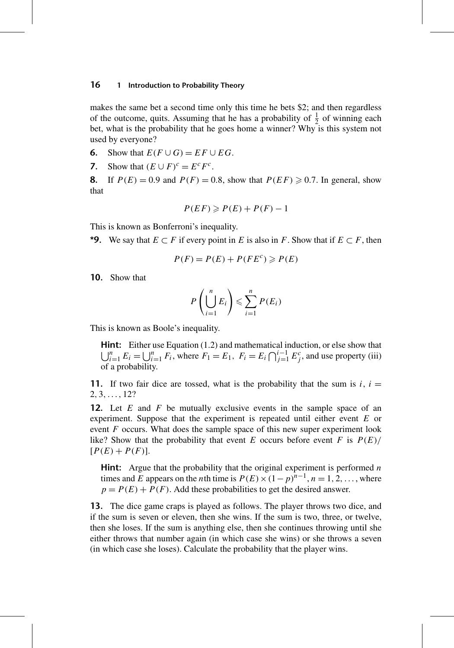makes the same bet a second time only this time he bets \$2; and then regardless of the outcome, quits. Assuming that he has a probability of  $\frac{1}{2}$  of winning each bet, what is the probability that he goes home a winner? Why is this system not used by everyone?

**6.** Show that  $E(F \cup G) = EF \cup EG$ .

**7.** Show that  $(E \cup F)^c = E^c F^c$ .

**8.** If  $P(E) = 0.9$  and  $P(F) = 0.8$ , show that  $P(EF) \ge 0.7$ . In general, show that

$$
P(EF) \geqslant P(E) + P(F) - 1
$$

This is known as Bonferroni's inequality.

**\*9.** We say that *E* ⊂ *F* if every point in *E* is also in *F*. Show that if *E* ⊂ *F*, then

$$
P(F) = P(E) + P(FE^c) \ge P(E)
$$

**10.** Show that

$$
P\left(\bigcup_{i=1}^n E_i\right) \leqslant \sum_{i=1}^n P(E_i)
$$

This is known as Boole's inequality.

**Hint:** Either use Equation (1.2) and mathematical induction, or else show that **Hint:** Either use Equation (1.2) and mathematical induction, or else show that  $\bigcup_{i=1}^{n} E_i = \bigcup_{i=1}^{n} F_i$ , where  $F_1 = E_1$ ,  $F_i = E_i \bigcap_{j=1}^{i-1} E_j^c$ , and use property (iii) of a probability.

**11.** If two fair dice are tossed, what is the probability that the sum is  $i$ ,  $i =$ 2*,* 3*,...,* 12?

**12.** Let *E* and *F* be mutually exclusive events in the sample space of an experiment. Suppose that the experiment is repeated until either event *E* or event *F* occurs. What does the sample space of this new super experiment look like? Show that the probability that event *E* occurs before event *F* is  $P(E)/$  $[P(E) + P(F)].$ 

**Hint:** Argue that the probability that the original experiment is performed *n* times and *E* appears on the *n*th time is  $P(E) \times (1-p)^{n-1}$ ,  $n = 1, 2, \ldots$ , where  $p = P(E) + P(F)$ . Add these probabilities to get the desired answer.

**13.** The dice game craps is played as follows. The player throws two dice, and if the sum is seven or eleven, then she wins. If the sum is two, three, or twelve, then she loses. If the sum is anything else, then she continues throwing until she either throws that number again (in which case she wins) or she throws a seven (in which case she loses). Calculate the probability that the player wins.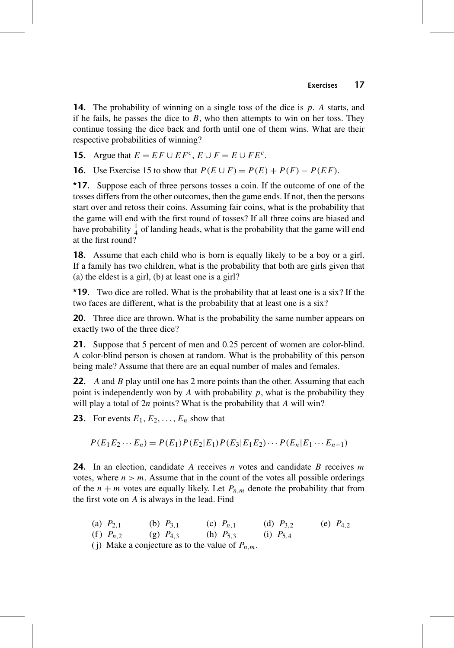**14.** The probability of winning on a single toss of the dice is *p*. *A* starts, and if he fails, he passes the dice to  $B$ , who then attempts to win on her toss. They continue tossing the dice back and forth until one of them wins. What are their respective probabilities of winning?

**15.** Argue that  $E = EF \cup EF^c$ ,  $E \cup F = E \cup FE^c$ .

**16.** Use Exercise 15 to show that  $P(E \cup F) = P(E) + P(F) - P(EF)$ .

**\*17.** Suppose each of three persons tosses a coin. If the outcome of one of the tosses differs from the other outcomes, then the game ends. If not, then the persons start over and retoss their coins. Assuming fair coins, what is the probability that the game will end with the first round of tosses? If all three coins are biased and have probability  $\frac{1}{4}$  of landing heads, what is the probability that the game will end at the first round?

**18.** Assume that each child who is born is equally likely to be a boy or a girl. If a family has two children, what is the probability that both are girls given that (a) the eldest is a girl, (b) at least one is a girl?

**\*19.** Two dice are rolled. What is the probability that at least one is a six? If the two faces are different, what is the probability that at least one is a six?

**20.** Three dice are thrown. What is the probability the same number appears on exactly two of the three dice?

**21.** Suppose that 5 percent of men and 0.25 percent of women are color-blind. A color-blind person is chosen at random. What is the probability of this person being male? Assume that there are an equal number of males and females.

**22.** *A* and *B* play until one has 2 more points than the other. Assuming that each point is independently won by *A* with probability *p*, what is the probability they will play a total of 2*n* points? What is the probability that *A* will win?

**23.** For events  $E_1, E_2, \ldots, E_n$  show that

 $P(E_1E_2\cdots E_n) = P(E_1)P(E_2|E_1)P(E_3|E_1E_2)\cdots P(E_n|E_1\cdots E_{n-1})$ 

**24.** In an election, candidate *A* receives *n* votes and candidate *B* receives *m* votes, where  $n > m$ . Assume that in the count of the votes all possible orderings of the  $n + m$  votes are equally likely. Let  $P_{n,m}$  denote the probability that from the first vote on *A* is always in the lead. Find

- (a)  $P_{2,1}$  (b)  $P_{3,1}$  (c)  $P_{n,1}$  (d)  $P_{3,2}$  (e)  $P_{4,2}$
- (f)  $P_{n,2}$  (g)  $P_{4,3}$  (h)  $P_{5,3}$  (i)  $P_{5,4}$

(*j*) Make a conjecture as to the value of  $P_{n,m}$ .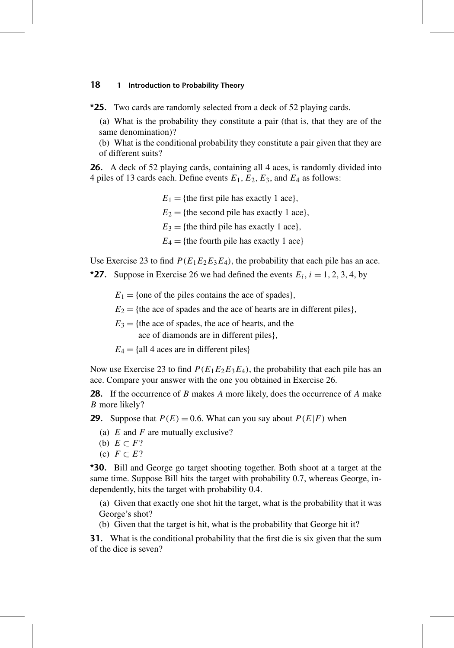**\*25.** Two cards are randomly selected from a deck of 52 playing cards.

(a) What is the probability they constitute a pair (that is, that they are of the same denomination)?

(b) What is the conditional probability they constitute a pair given that they are of different suits?

**26.** A deck of 52 playing cards, containing all 4 aces, is randomly divided into 4 piles of 13 cards each. Define events  $E_1, E_2, E_3$ , and  $E_4$  as follows:

- $E_1 = \{$ the first pile has exactly 1 ace $\}$ ,
- $E_2$  = {the second pile has exactly 1 ace}*,*
- $E_3$  = {the third pile has exactly 1 ace}*,*
- $E_4$  = {the fourth pile has exactly 1 ace}

Use Exercise 23 to find  $P(E_1E_2E_3E_4)$ , the probability that each pile has an ace.

- \***27.** Suppose in Exercise 26 we had defined the events  $E_i$ ,  $i = 1, 2, 3, 4$ , by
	- $E_1$  = {one of the piles contains the ace of spades}*,*
	- $E_2$  = {the ace of spades and the ace of hearts are in different piles}*,*
	- $E_3$  = {the ace of spades, the ace of hearts, and the ace of diamonds are in different piles}*,*

 $E_4 = \{all 4 \text{ aces are in different piles}\}\$ 

Now use Exercise 23 to find  $P(E_1E_2E_3E_4)$ , the probability that each pile has an ace. Compare your answer with the one you obtained in Exercise 26.

**28.** If the occurrence of *B* makes *A* more likely, does the occurrence of *A* make *B* more likely?

**29.** Suppose that  $P(E) = 0.6$ . What can you say about  $P(E|F)$  when

- (a) *E* and *F* are mutually exclusive?
- (b)  $E \subset F$ ?
- (c) *F* ⊂ *E*?

**\*30.** Bill and George go target shooting together. Both shoot at a target at the same time. Suppose Bill hits the target with probability 0.7, whereas George, independently, hits the target with probability 0.4.

(a) Given that exactly one shot hit the target, what is the probability that it was George's shot?

(b) Given that the target is hit, what is the probability that George hit it?

**31.** What is the conditional probability that the first die is six given that the sum of the dice is seven?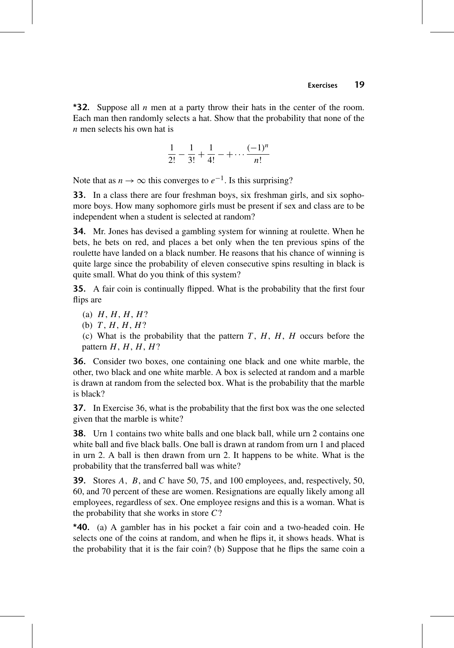**\*32.** Suppose all *n* men at a party throw their hats in the center of the room. Each man then randomly selects a hat. Show that the probability that none of the *n* men selects his own hat is

$$
\frac{1}{2!} - \frac{1}{3!} + \frac{1}{4!} - \cdots + \frac{(-1)^n}{n!}
$$

Note that as  $n \to \infty$  this converges to  $e^{-1}$ . Is this surprising?

**33.** In a class there are four freshman boys, six freshman girls, and six sophomore boys. How many sophomore girls must be present if sex and class are to be independent when a student is selected at random?

**34.** Mr. Jones has devised a gambling system for winning at roulette. When he bets, he bets on red, and places a bet only when the ten previous spins of the roulette have landed on a black number. He reasons that his chance of winning is quite large since the probability of eleven consecutive spins resulting in black is quite small. What do you think of this system?

**35.** A fair coin is continually flipped. What is the probability that the first four flips are

- (a) *H*, *H*, *H*, *H*?
- (b) *T* , *H*, *H*, *H*?
- (c) What is the probability that the pattern *T* , *H*, *H*, *H* occurs before the pattern *H*, *H*, *H*, *H*?

**36.** Consider two boxes, one containing one black and one white marble, the other, two black and one white marble. A box is selected at random and a marble is drawn at random from the selected box. What is the probability that the marble is black?

**37.** In Exercise 36, what is the probability that the first box was the one selected given that the marble is white?

**38.** Urn 1 contains two white balls and one black ball, while urn 2 contains one white ball and five black balls. One ball is drawn at random from urn 1 and placed in urn 2. A ball is then drawn from urn 2. It happens to be white. What is the probability that the transferred ball was white?

**39.** Stores *A, B*, and *C* have 50, 75, and 100 employees, and, respectively, 50, 60, and 70 percent of these are women. Resignations are equally likely among all employees, regardless of sex. One employee resigns and this is a woman. What is the probability that she works in store *C*?

**\*40.** (a) A gambler has in his pocket a fair coin and a two-headed coin. He selects one of the coins at random, and when he flips it, it shows heads. What is the probability that it is the fair coin? (b) Suppose that he flips the same coin a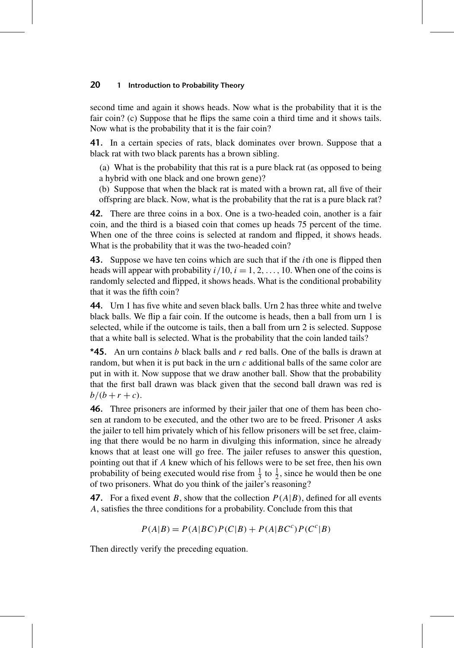second time and again it shows heads. Now what is the probability that it is the fair coin? (c) Suppose that he flips the same coin a third time and it shows tails. Now what is the probability that it is the fair coin?

**41.** In a certain species of rats, black dominates over brown. Suppose that a black rat with two black parents has a brown sibling.

(a) What is the probability that this rat is a pure black rat (as opposed to being a hybrid with one black and one brown gene)?

(b) Suppose that when the black rat is mated with a brown rat, all five of their offspring are black. Now, what is the probability that the rat is a pure black rat?

**42.** There are three coins in a box. One is a two-headed coin, another is a fair coin, and the third is a biased coin that comes up heads 75 percent of the time. When one of the three coins is selected at random and flipped, it shows heads. What is the probability that it was the two-headed coin?

**43.** Suppose we have ten coins which are such that if the *i*th one is flipped then heads will appear with probability  $i/10$ ,  $i = 1, 2, \ldots, 10$ . When one of the coins is randomly selected and flipped, it shows heads. What is the conditional probability that it was the fifth coin?

**44.** Urn 1 has five white and seven black balls. Urn 2 has three white and twelve black balls. We flip a fair coin. If the outcome is heads, then a ball from urn 1 is selected, while if the outcome is tails, then a ball from urn 2 is selected. Suppose that a white ball is selected. What is the probability that the coin landed tails?

**\*45.** An urn contains *b* black balls and *r* red balls. One of the balls is drawn at random, but when it is put back in the urn *c* additional balls of the same color are put in with it. Now suppose that we draw another ball. Show that the probability that the first ball drawn was black given that the second ball drawn was red is  $b/(b + r + c)$ .

**46.** Three prisoners are informed by their jailer that one of them has been chosen at random to be executed, and the other two are to be freed. Prisoner *A* asks the jailer to tell him privately which of his fellow prisoners will be set free, claiming that there would be no harm in divulging this information, since he already knows that at least one will go free. The jailer refuses to answer this question, pointing out that if *A* knew which of his fellows were to be set free, then his own probability of being executed would rise from  $\frac{1}{3}$  to  $\frac{1}{2}$ , since he would then be one of two prisoners. What do you think of the jailer's reasoning?

**47.** For a fixed event *B*, show that the collection *P(A*|*B)*, defined for all events *A*, satisfies the three conditions for a probability. Conclude from this that

$$
P(A|B) = P(A|BC)P(C|B) + P(A|BC^{c})P(C^{c}|B)
$$

Then directly verify the preceding equation.